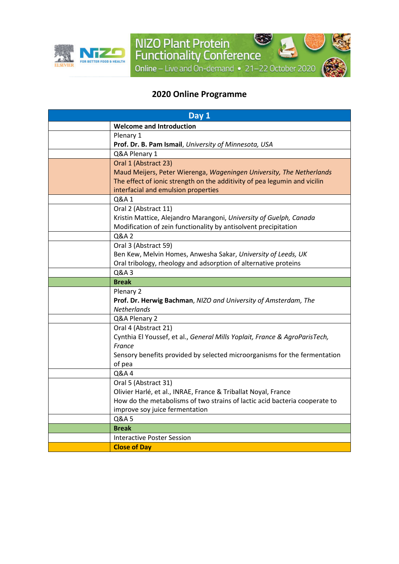

## **2020 Online Programme**

NIZO Plant Protein<br>Functionality Conference

Online - Live and On-demand . 21-22 October 2020

٣

| Day 1 |                                                                            |  |
|-------|----------------------------------------------------------------------------|--|
|       | <b>Welcome and Introduction</b>                                            |  |
|       | Plenary 1                                                                  |  |
|       | Prof. Dr. B. Pam Ismail, University of Minnesota, USA                      |  |
|       | Q&A Plenary 1                                                              |  |
|       | Oral 1 (Abstract 23)                                                       |  |
|       | Maud Meijers, Peter Wierenga, Wageningen University, The Netherlands       |  |
|       | The effect of ionic strength on the additivity of pea legumin and vicilin  |  |
|       | interfacial and emulsion properties                                        |  |
|       | Q&A 1                                                                      |  |
|       | Oral 2 (Abstract 11)                                                       |  |
|       | Kristin Mattice, Alejandro Marangoni, University of Guelph, Canada         |  |
|       | Modification of zein functionality by antisolvent precipitation            |  |
|       | Q&A 2                                                                      |  |
|       | Oral 3 (Abstract 59)                                                       |  |
|       | Ben Kew, Melvin Homes, Anwesha Sakar, University of Leeds, UK              |  |
|       | Oral tribology, rheology and adsorption of alternative proteins            |  |
|       | Q&A 3                                                                      |  |
|       | <b>Break</b>                                                               |  |
|       | Plenary 2                                                                  |  |
|       | Prof. Dr. Herwig Bachman, NIZO and University of Amsterdam, The            |  |
|       | <b>Netherlands</b>                                                         |  |
|       | Q&A Plenary 2                                                              |  |
|       | Oral 4 (Abstract 21)                                                       |  |
|       | Cynthia El Youssef, et al., General Mills Yoplait, France & AgroParisTech, |  |
|       | France                                                                     |  |
|       | Sensory benefits provided by selected microorganisms for the fermentation  |  |
|       | of pea                                                                     |  |
|       | Q&A4                                                                       |  |
|       | Oral 5 (Abstract 31)                                                       |  |
|       | Olivier Harlé, et al., INRAE, France & Triballat Noyal, France             |  |
|       | How do the metabolisms of two strains of lactic acid bacteria cooperate to |  |
|       | improve soy juice fermentation                                             |  |
|       | Q&A 5                                                                      |  |
|       | <b>Break</b>                                                               |  |
|       | <b>Interactive Poster Session</b>                                          |  |
|       | <b>Close of Day</b>                                                        |  |